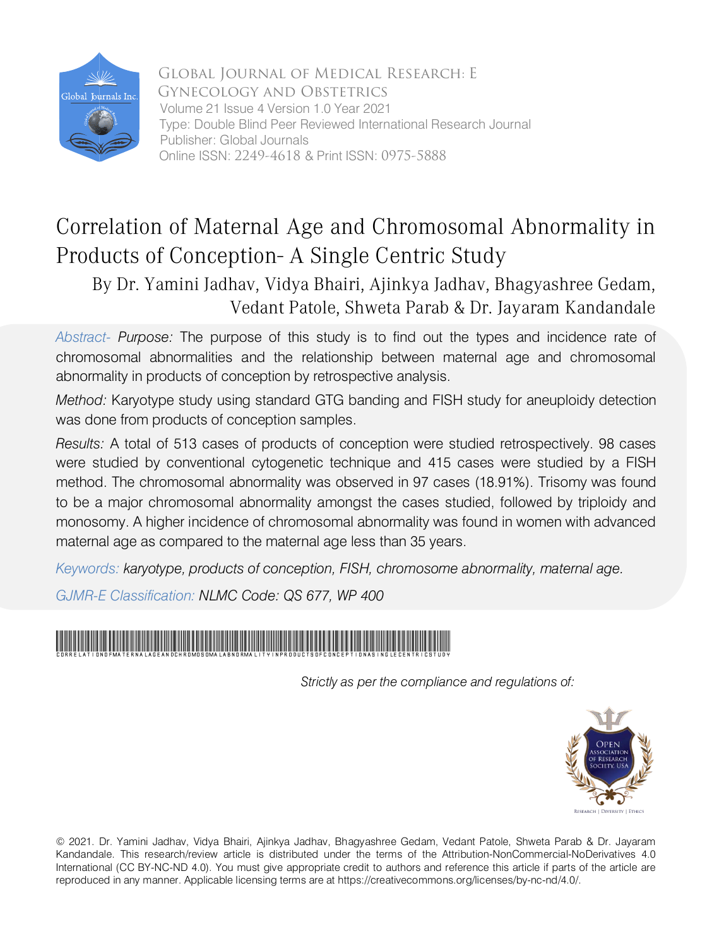

Global Journal of Medical Research: E Gynecology and Obstetrics Volume 21 Issue 4 Version 1.0 Year 2021 Type: Double Blind Peer Reviewed International Research Journal Publisher: Global Journals Online ISSN: 2249-4618 & Print ISSN: 0975-5888

# Correlation of Maternal Age and Chromosomal Abnormality in Products of Conception- A Single Centric Study

By Dr. Yamini Jadhav, Vidya Bhairi, Ajinkya Jadhav, Bhagyashree Gedam, Vedant Patole, Shweta Parab & Dr. Jayaram Kandandale

*Abs tract- Purpose:* The purpose of this study is to find out the types and incidence rate of chromosomal abnormalities and the relationship between maternal age and chromosomal abnormality in products of conception by retrospective analysis.

*Method:* Karyotype study using standard GTG banding and FISH study for aneuploidy detection was done from products of conception samples.

*Results:* A total of 513 cases of products of conception were studied retrospectively. 98 cases were studied by conventional cytogenetic technique and 415 cases were studied by a FISH method. The chromosomal abnormality was observed in 97 cases (18.91%). Trisomy was found to be a major chromosomal abnormality amongst the cases studied, followed by triploidy and monosomy. A higher incidence of chromosomal abnormality was found in women with advanced maternal age as compared to the maternal age less than 35 years.

*Keywords: karyotype, products of conception, FISH, chromosome abnormality, maternal age.*

*GJMR-E Classification: NLMC Code: QS 677, WP 400*

# CorrelationofMaternalAgeandChromosomalAbnormalityinProductsofConceptionASingleCentricStudy

 *Strictly as per the compliance and regulations of:*



© 2021. Dr. Yamini Jadhav, Vidya Bhairi, Ajinkya Jadhav, Bhagyashree Gedam, Vedant Patole, Shweta Parab & Dr. Jayaram Kandandale. This research/review article is distributed under the terms of the Attribution-NonCommercial-NoDerivatives 4.0 International (CC BY-NC-ND 4.0). You must give appropriate credit to authors and reference this article if parts of the article are reproduced in any manner. Applicable licensing terms are at https://creativecommons.org/licenses/by-nc-nd/4.0/.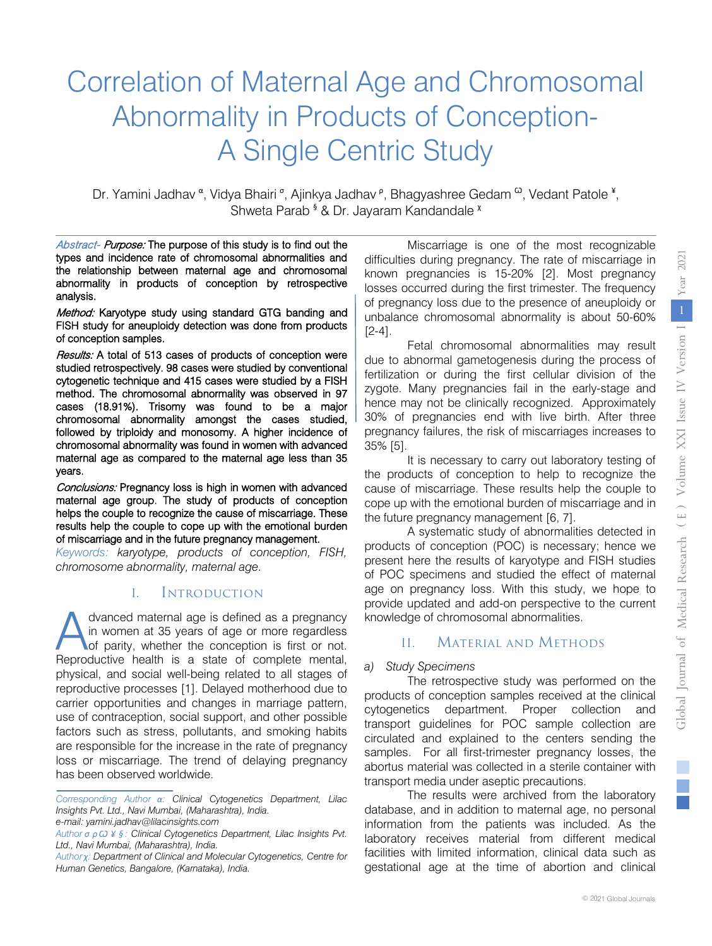# Correlation of Maternal Age and Chromosomal Abnormality in Products of Conception-A Single Centric Study

Dr. Yamini Jadhav <sup>α</sup>, Vidya Bhairi <sup>σ</sup>, Ajinkya Jadhav <sup>ρ</sup>, Bhagyashree Gedam <sup>ω</sup>, Vedant Patole <sup>¥</sup>, Shweta Parab<sup>§</sup> & Dr. Jayaram Kandandale<sup>x</sup>

Abstract- Purpose: The purpose of this study is to find out the types and incidence rate of chromosomal abnormalities and the relationship between maternal age and chromosomal abnormality in products of conception by retrospective analysis.

Method: Karyotype study using standard GTG banding and FISH study for aneuploidy detection was done from products of conception samples.

Results: A total of 513 cases of products of conception were studied retrospectively. 98 cases were studied by conventional cytogenetic technique and 415 cases were studied by a FISH method. The chromosomal abnormality was observed in 97 cases (18.91%). Trisomy was found to be a major chromosomal abnormality amongst the cases studied, followed by triploidy and monosomy. A higher incidence of chromosomal abnormality was found in women with advanced maternal age as compared to the maternal age less than 35 years.

Conclusions: Pregnancy loss is high in women with advanced maternal age group. The study of products of conception helps the couple to recognize the cause of miscarriage. These results help the couple to cope up with the emotional burden of miscarriage and in the future pregnancy management.

*Keywords: karyotype, products of conception, FISH, chromosome abnormality, maternal age.* 

#### I. Introduction

dvanced maternal age is defined as a pregnancy in women at 35 years of age or more regardless of parity, whether the conception is first or not. dvanced maternal age is defined as a pregnancy<br>in women at 35 years of age or more regardless<br>of parity, whether the conception is first or not.<br>Reproductive health is a state of complete mental, physical, and social well-being related to all stages of reproductive processes [1]. Delayed motherhood due to carrier opportunities and changes in marriage pattern, use of contraception, social support, and other possible factors such as stress, pollutants, and smoking habits are responsible for the increase in the rate of pregnancy loss or miscarriage. The trend of delaying pregnancy has been observed worldwide.

Miscarriage is one of the most recognizable difficulties during pregnancy. The rate of miscarriage in known pregnancies is 15-20% [2]. Most pregnancy losses occurred during the first trimester. The frequency of pregnancy loss due to the presence of aneuploidy or unbalance chromosomal abnormality is about 50-60% [2-4].

Fetal chromosomal abnormalities may result due to abnormal gametogenesis during the process of fertilization or during the first cellular division of the zygote. Many pregnancies fail in the early-stage and hence may not be clinically recognized. Approximately 30% of pregnancies end with live birth. After three pregnancy failures, the risk of miscarriages increases to 35% [5].

It is necessary to carry out laboratory testing of the products of conception to help to recognize the cause of miscarriage. These results help the couple to cope up with the emotional burden of miscarriage and in the future pregnancy management [6, 7].

A systematic study of abnormalities detected in products of conception (POC) is necessary; hence we present here the results of karyotype and FISH studies of POC specimens and studied the effect of maternal age on pregnancy loss. With this study, we hope to provide updated and add-on perspective to the current knowledge of chromosomal abnormalities.

# II. Material and Methods

## *a) Study Specimens*

The retrospective study was performed on the products of conception samples received at the clinical cytogenetics department. Proper collection and transport guidelines for POC sample collection are circulated and explained to the centers sending the samples. For all first-trimester pregnancy losses, the abortus material was collected in a sterile container with transport media under aseptic precautions.

The results were archived from the laboratory database, and in addition to maternal age, no personal information from the patients was included. As the laboratory receives material from different medical facilities with limited information, clinical data such as gestational age at the time of abortion and clinical

*Corresponding Author α: Clinical Cytogenetics Department, Lilac Insights Pvt. Ltd., Navi Mumbai, (Maharashtra), India.* 

*e-mail: yamini.jadhav@lilacinsights.com*

*Author σ ρ Ѡ ¥ § : Clinical Cytogenetics Department, Lilac Insights Pvt. Ltd., Navi Mumbai, (Maharashtra), India.*

*Author χ: Department of Clinical and Molecular Cytogenetics, Centre for Human Genetics, Bangalore, (Karnataka), India.*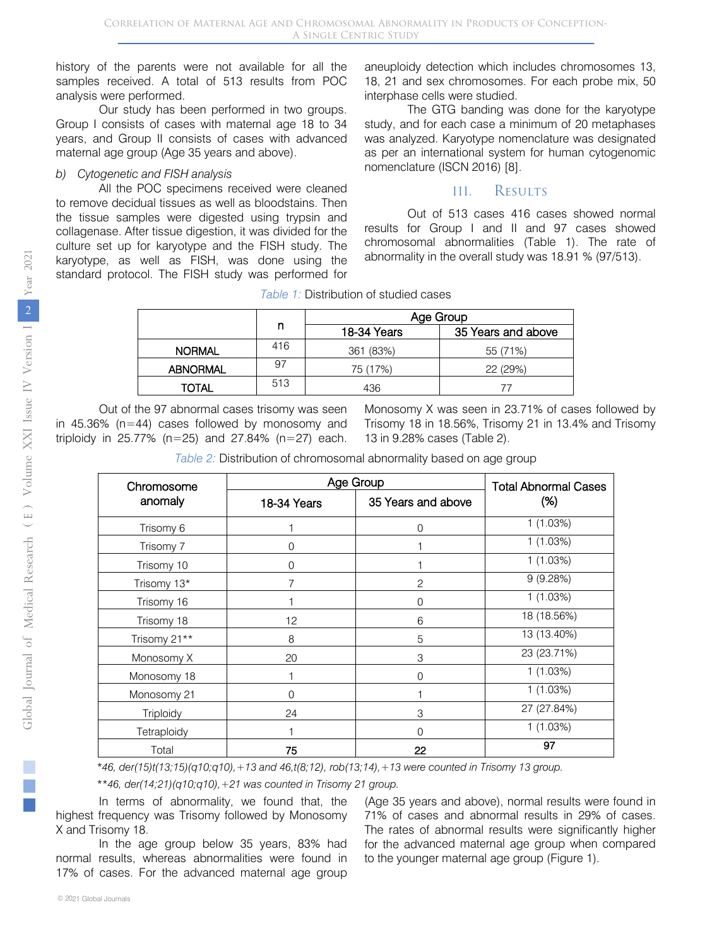history of the parents were not available for all the samples received. A total of 513 results from POC analysis were performed.

Our study has been performed in two groups. Group I consists of cases with maternal age 18 to 34 years, and Group II consists of cases with advanced maternal age group (Age 35 years and above).

#### *b) Cytogenetic and FISH analysis*

All the POC specimens received were cleaned to remove decidual tissues as well as bloodstains. Then the tissue samples were digested using trypsin and collagenase. After tissue digestion, it was divided for the culture set up for karyotype and the FISH study. The karyotype, as well as FISH, was done using the standard protocol. The FISH study was performed for

aneuploidy detection which includes chromosomes 13, 18, 21 and sex chromosomes. For each probe mix, 50 interphase cells were studied.

The GTG banding was done for the karyotype study, and for each case a minimum of 20 metaphases was analyzed. Karyotype nomenclature was designated as per an international system for human cytogenomic nomenclature (ISCN 2016) [8].

#### III. Results

Out of 513 cases 416 cases showed normal results for Group I and II and 97 cases showed chromosomal abnormalities (Table 1). The rate of abnormality in the overall study was 18.91 % (97/513).

|                 |     | Age Group   |                    |
|-----------------|-----|-------------|--------------------|
|                 | n   | 18-34 Years | 35 Years and above |
| <b>NORMAL</b>   | 416 | 361 (83%)   | 55 (71%)           |
| <b>ABNORMAL</b> | 97  | 75 (17%)    | 22 (29%)           |
| <b>TOTAL</b>    | 513 | 436         | 77                 |
|                 |     |             |                    |

*Table 1:* Distribution of studied cases

Out of the 97 abnormal cases trisomy was seen in 45.36% (n=44) cases followed by monosomy and triploidy in 25.77% (n=25) and 27.84% (n=27) each. Monosomy X was seen in 23.71% of cases followed by Trisomy 18 in 18.56%, Trisomy 21 in 13.4% and Trisomy 13 in 9.28% cases (Table 2).

*Table 2:* Distribution of chromosomal abnormality based on age group

| Chromosome       | Age Group   | <b>Total Abnormal Cases</b> |             |
|------------------|-------------|-----------------------------|-------------|
| anomaly          | 18-34 Years | 35 Years and above          | (%)         |
| Trisomy 6        |             | 0                           | 1(1.03%)    |
| Trisomy 7        | 0           |                             | 1(1.03%)    |
| Trisomy 10       | $\Omega$    |                             | 1(1.03%)    |
| Trisomy 13*      | 7           | $\overline{c}$              | 9(9.28%)    |
| Trisomy 16       |             | 0                           | 1(1.03%)    |
| Trisomy 18       | 12          | 6                           | 18 (18.56%) |
| Trisomy 21**     | 8           | 5                           | 13 (13.40%) |
| Monosomy X       | 20          | 3                           | 23 (23.71%) |
| Monosomy 18      |             | $\Omega$                    | 1(1.03%)    |
| Monosomy 21      | $\Omega$    |                             | 1(1.03%)    |
| <b>Triploidy</b> | 24          | 3                           | 27 (27.84%) |
| Tetraploidy      |             | 0                           | 1(1.03%)    |
| Total            | 75          | 22                          | 97          |

*\*46, der(15)t(13;15)(q10;q10),+13 and 46,t(8;12), rob(13;14),+13 were counted in Trisomy 13 group.*

*\*\*46, der(14;21)(q10;q10),+21 was counted in Trisomy 21 group.*

In terms of abnormality, we found that, the highest frequency was Trisomy followed by Monosomy X and Trisomy 18.

In the age group below 35 years, 83% had normal results, whereas abnormalities were found in 17% of cases. For the advanced maternal age group

(Age 35 years and above), normal results were found in 71% of cases and abnormal results in 29% of cases. The rates of abnormal results were significantly higher for the advanced maternal age group when compared to the younger maternal age group (Figure 1).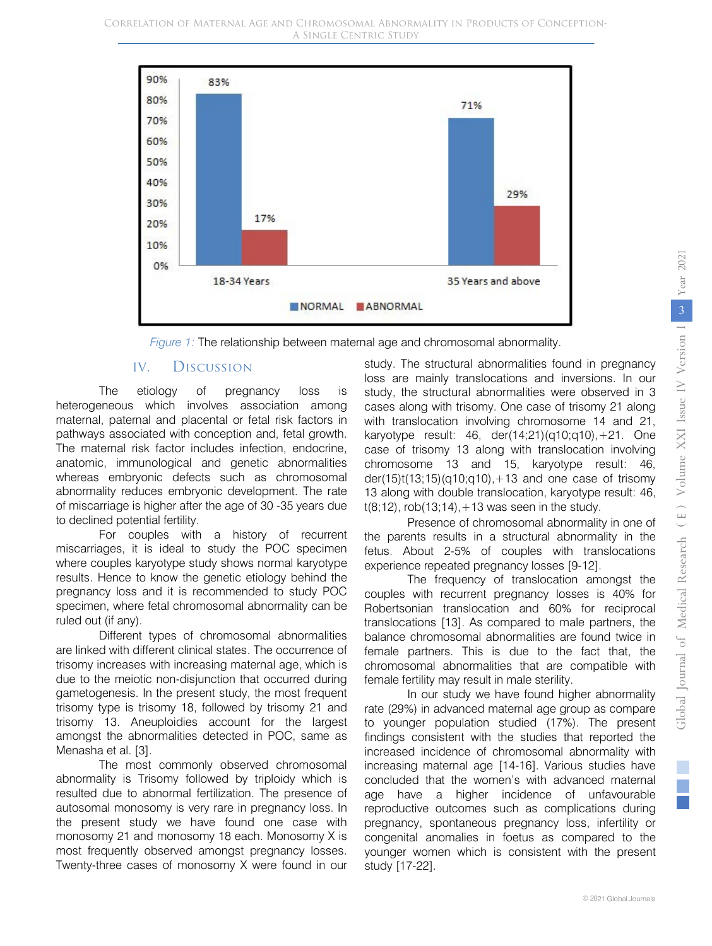

*Figure 1:* The relationship between maternal age and chromosomal abnormality.

## IV. Discussion

The etiology of pregnancy loss is heterogeneous which involves association among maternal, paternal and placental or fetal risk factors in pathways associated with conception and, fetal growth. The maternal risk factor includes infection, endocrine, anatomic, immunological and genetic abnormalities whereas embryonic defects such as chromosomal abnormality reduces embryonic development. The rate of miscarriage is higher after the age of 30 -35 years due to declined potential fertility.

For couples with a history of recurrent miscarriages, it is ideal to study the POC specimen where couples karyotype study shows normal karyotype results. Hence to know the genetic etiology behind the pregnancy loss and it is recommended to study POC specimen, where fetal chromosomal abnormality can be ruled out (if any).

Different types of chromosomal abnormalities are linked with different clinical states. The occurrence of trisomy increases with increasing maternal age, which is due to the meiotic non-disjunction that occurred during gametogenesis. In the present study, the most frequent trisomy type is trisomy 18, followed by trisomy 21 and trisomy 13. Aneuploidies account for the largest amongst the abnormalities detected in POC, same as Menasha et al. [3].

The most commonly observed chromosomal abnormality is Trisomy followed by triploidy which is resulted due to abnormal fertilization. The presence of autosomal monosomy is very rare in pregnancy loss. In the present study we have found one case with monosomy 21 and monosomy 18 each. Monosomy X is most frequently observed amongst pregnancy losses. Twenty-three cases of monosomy X were found in our

study. The structural abnormalities found in pregnancy loss are mainly translocations and inversions. In our study, the structural abnormalities were observed in 3 cases along with trisomy. One case of trisomy 21 along with translocation involving chromosome 14 and 21, karyotype result: 46, der(14;21)(q10;q10),+21. One case of trisomy 13 along with translocation involving chromosome 13 and 15, karyotype result: 46, der(15)t(13;15)(q10;q10), +13 and one case of trisomy 13 along with double translocation, karyotype result: 46,  $t(8, 12)$ , rob $(13, 14)$ , +13 was seen in the study.

Presence of chromosomal abnormality in one of the parents results in a structural abnormality in the fetus. About 2-5% of couples with translocations experience repeated pregnancy losses [9-12].

The frequency of translocation amongst the couples with recurrent pregnancy losses is 40% for Robertsonian translocation and 60% for reciprocal translocations [13]. As compared to male partners, the balance chromosomal abnormalities are found twice in female partners. This is due to the fact that, the chromosomal abnormalities that are compatible with female fertility may result in male sterility.

In our study we have found higher abnormality rate (29%) in advanced maternal age group as compare to younger population studied (17%). The present findings consistent with the studies that reported the increased incidence of chromosomal abnormality with increasing maternal age [14-16]. Various studies have concluded that the women's with advanced maternal age have a higher incidence of unfavourable reproductive outcomes such as complications during pregnancy, spontaneous pregnancy loss, infertility or congenital anomalies in foetus as compared to the younger women which is consistent with the present study [17-22].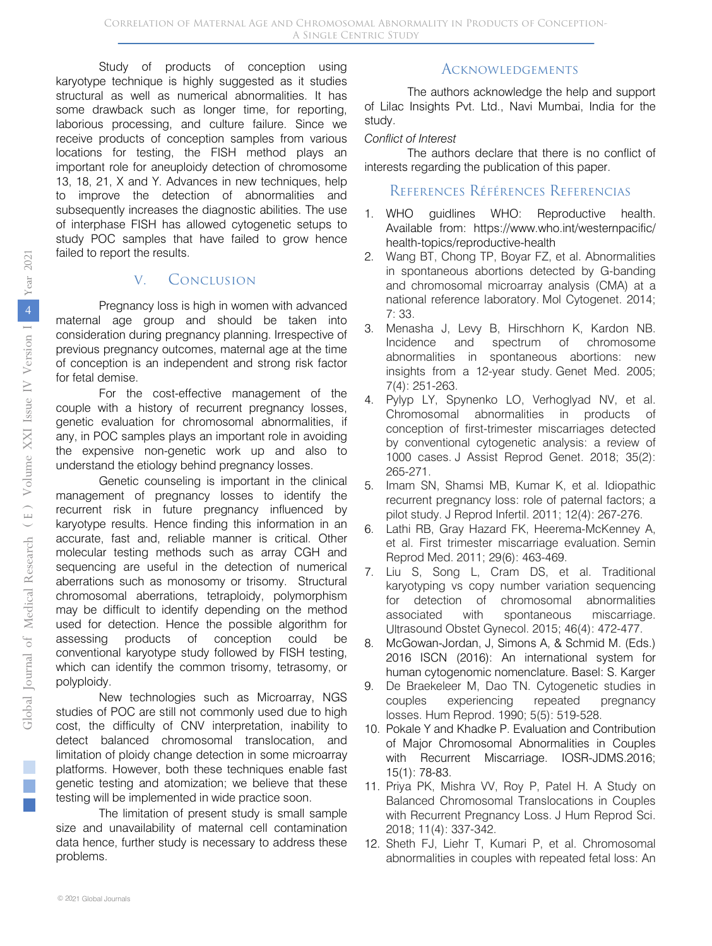Study of products of conception using karyotype technique is highly suggested as it studies structural as well as numerical abnormalities. It has some drawback such as longer time, for reporting, laborious processing, and culture failure. Since we receive products of conception samples from various locations for testing, the FISH method plays an important role for aneuploidy detection of chromosome 13, 18, 21, X and Y. Advances in new techniques, help to improve the detection of abnormalities and subsequently increases the diagnostic abilities. The use of interphase FISH has allowed cytogenetic setups to study POC samples that have failed to grow hence failed to report the results.

#### V. Conclusion

Pregnancy loss is high in women with advanced maternal age group and should be taken into consideration during pregnancy planning. Irrespective of previous pregnancy outcomes, maternal age at the time of conception is an independent and strong risk factor for fetal demise.

For the cost-effective management of the couple with a history of recurrent pregnancy losses, genetic evaluation for chromosomal abnormalities, if any, in POC samples plays an important role in avoiding the expensive non-genetic work up and also to understand the etiology behind pregnancy losses.

Genetic counseling is important in the clinical management of pregnancy losses to identify the recurrent risk in future pregnancy influenced by karyotype results. Hence finding this information in an accurate, fast and, reliable manner is critical. Other molecular testing methods such as array CGH and sequencing are useful in the detection of numerical aberrations such as monosomy or trisomy. Structural chromosomal aberrations, tetraploidy, polymorphism may be difficult to identify depending on the method used for detection. Hence the possible algorithm for assessing products of conception could be conventional karyotype study followed by FISH testing, which can identify the common trisomy, tetrasomy, or polyploidy.

New technologies such as Microarray, NGS studies of POC are still not commonly used due to high cost, the difficulty of CNV interpretation, inability to detect balanced chromosomal translocation, and limitation of ploidy change detection in some microarray platforms. However, both these techniques enable fast genetic testing and atomization; we believe that these testing will be implemented in wide practice soon.

The limitation of present study is small sample size and unavailability of maternal cell contamination data hence, further study is necessary to address these problems.

# **ACKNOWLEDGEMENTS**

The authors acknowledge the help and support of Lilac Insights Pvt. Ltd., Navi Mumbai, India for the study.

#### *Conflict of Interest*

The authors declare that there is no conflict of interests regarding the publication of this paper.

### References Références Referencias

- 1. WHO guidlines WHO: Reproductive health. Available from: https://www.who.int/westernpacific/ health-topics/reproductive-health
- 2. Wang BT, Chong TP, Boyar FZ, et al. Abnormalities in spontaneous abortions detected by G-banding and chromosomal microarray analysis (CMA) at a national reference laboratory. Mol Cytogenet. 2014; 7: 33.
- 3. Menasha J, Levy B, Hirschhorn K, Kardon NB. Incidence and spectrum of chromosome abnormalities in spontaneous abortions: new insights from a 12-year study. Genet Med. 2005; 7(4): 251-263.
- 4. Pylyp LY, Spynenko LO, Verhoglyad NV, et al. Chromosomal abnormalities in products of conception of first-trimester miscarriages detected by conventional cytogenetic analysis: a review of 1000 cases. J Assist Reprod Genet. 2018; 35(2): 265-271.
- 5. Imam SN, Shamsi MB, Kumar K, et al. Idiopathic recurrent pregnancy loss: role of paternal factors; a pilot study. J Reprod Infertil. 2011; 12(4): 267-276.
- 6. Lathi RB, Gray Hazard FK, Heerema-McKenney A, et al. First trimester miscarriage evaluation. Semin Reprod Med. 2011; 29(6): 463-469.
- 7. Liu S, Song L, Cram DS, et al. Traditional karyotyping vs copy number variation sequencing for detection of chromosomal abnormalities associated with spontaneous miscarriage. Ultrasound Obstet Gynecol. 2015; 46(4): 472-477.
- 8. McGowan-Jordan, J, Simons A, & Schmid M. (Eds.) 2016 ISCN (2016): An international system for human cytogenomic nomenclature. Basel: S. Karger
- 9. De Braekeleer M, Dao TN. Cytogenetic studies in couples experiencing repeated pregnancy losses. Hum Reprod. 1990; 5(5): 519-528.
- 10. Pokale Y and Khadke P. Evaluation and Contribution of Major Chromosomal Abnormalities in Couples with Recurrent Miscarriage. IOSR-JDMS.2016; 15(1): 78-83.
- 11. Priya PK, Mishra VV, Roy P, Patel H. A Study on Balanced Chromosomal Translocations in Couples with Recurrent Pregnancy Loss. J Hum Reprod Sci. 2018; 11(4): 337-342.
- 12. Sheth FJ, Liehr T, Kumari P, et al. Chromosomal abnormalities in couples with repeated fetal loss: An